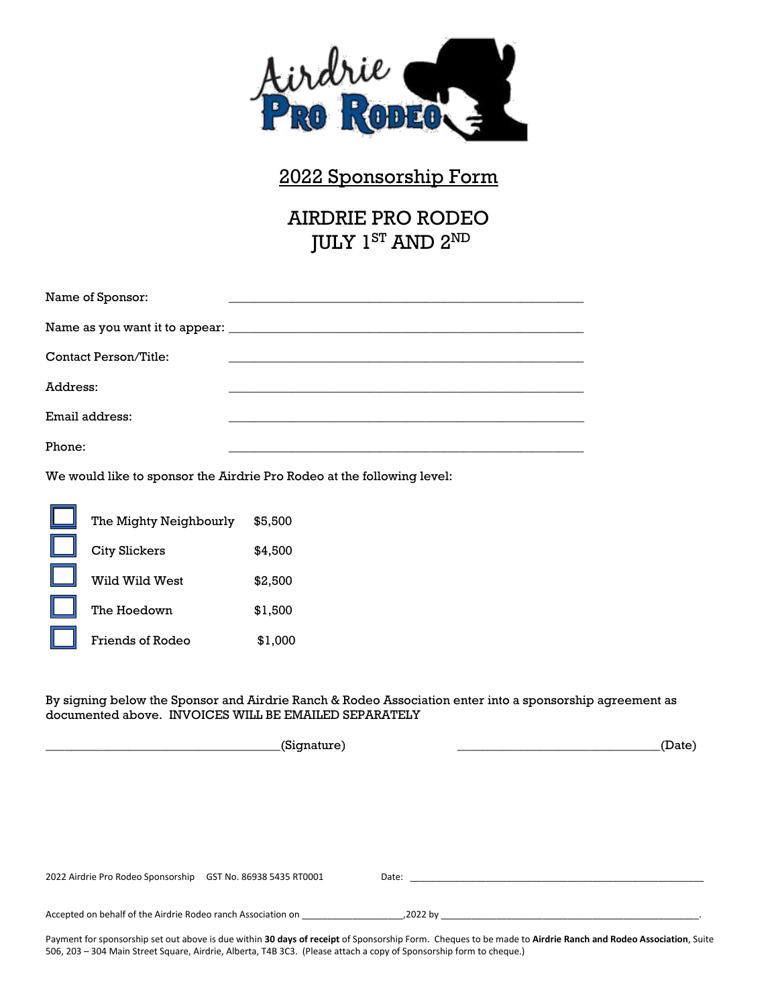

## 2022 Sponsorship Form

AIRDRIE PRO RODEO JULY 1<sup>ST</sup> AND 2<sup>ND</sup>

| Name of Sponsor:      |  |
|-----------------------|--|
|                       |  |
| Contact Person/Title: |  |
| Address:              |  |
| Email address:        |  |
| Phone:                |  |

We would like to sponsor the Airdrie Pro Rodeo at the following level:

| The Mighty Neighbourly | \$5,500 |
|------------------------|---------|
| <b>City Slickers</b>   | \$4.500 |
| Wild Wild West         | \$2.500 |
| The Hoedown            | \$1,500 |
| Friends of Rodeo       | \$1.000 |

By signing below the Sponsor and Airdrie Ranch & Rodeo Association enter into a sponsorship agreement as documented above. INVOICES WILL BE EMAILED SEPARATELY

|                                                              | (Signature) |          | (Date) |  |  |
|--------------------------------------------------------------|-------------|----------|--------|--|--|
|                                                              |             |          |        |  |  |
|                                                              |             |          |        |  |  |
|                                                              |             |          |        |  |  |
|                                                              |             |          |        |  |  |
|                                                              |             |          |        |  |  |
| 2022 Airdrie Pro Rodeo Sponsorship GST No. 86938 5435 RT0001 |             | Date:    |        |  |  |
|                                                              |             |          |        |  |  |
| Accepted on behalf of the Airdrie Rodeo ranch Association on |             | ,2022 by |        |  |  |

Payment for sponsorship set out above is due within **30 days of receipt** of Sponsorship Form. Cheques to be made to **Airdrie Ranch and Rodeo Association**, Suite 506, 203 – 304 Main Street Square, Airdrie, Alberta, T4B 3C3. (Please attach a copy of Sponsorship form to cheque.)